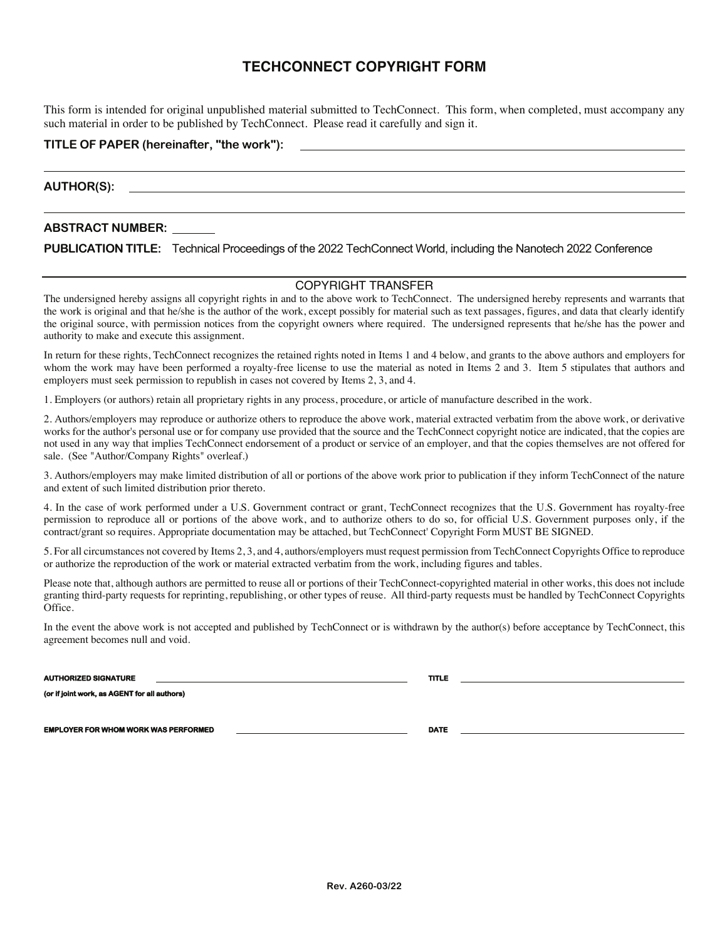# **TECHCONNECT COPYRIGHT FORM**

This form is intended for original unpublished material submitted to TechConnect. This form, when completed, must accompany any such material in order to be published by TechConnect. Please read it carefully and sign it.

# **TITLE OF PAPER (hereinafter, "the work"):**

**AUTHOR(S):** 

# **ABSTRACT NUMBER:**

**PUBLICATION TITLE:** Technical Proceedings of the 2022 TechConnect World, including the Nanotech 2022 Conference

## COPYRIGHT TRANSFER

The undersigned hereby assigns all copyright rights in and to the above work to TechConnect. The undersigned hereby represents and warrants that the work is original and that he/she is the author of the work, except possibly for material such as text passages, figures, and data that clearly identify the original source, with permission notices from the copyright owners where required. The undersigned represents that he/she has the power and authority to make and execute this assignment.

In return for these rights, TechConnect recognizes the retained rights noted in Items 1 and 4 below, and grants to the above authors and employers for whom the work may have been performed a royalty-free license to use the material as noted in Items 2 and 3. Item 5 stipulates that authors and employers must seek permission to republish in cases not covered by Items 2, 3, and 4.

1. Employers (or authors) retain all proprietary rights in any process, procedure, or article of manufacture described in the work.

2. Authors/employers may reproduce or authorize others to reproduce the above work, material extracted verbatim from the above work, or derivative works for the author's personal use or for company use provided that the source and the TechConnect copyright notice are indicated, that the copies are not used in any way that implies TechConnect endorsement of a product or service of an employer, and that the copies themselves are not offered for sale. (See "Author/Company Rights" overleaf.)

3. Authors/employers may make limited distribution of all or portions of the above work prior to publication if they inform TechConnect of the nature and extent of such limited distribution prior thereto.

4. In the case of work performed under a U.S. Government contract or grant, TechConnect recognizes that the U.S. Government has royalty-free permission to reproduce all or portions of the above work, and to authorize others to do so, for official U.S. Government purposes only, if the contract/grant so requires. Appropriate documentation may be attached, but TechConnect' Copyright Form MUST BE SIGNED.

5. For all circumstances not covered by Items 2, 3, and 4, authors/employers must request permission from TechConnect Copyrights Office to reproduce or authorize the reproduction of the work or material extracted verbatim from the work, including figures and tables.

Please note that, although authors are permitted to reuse all or portions of their TechConnect-copyrighted material in other works, this does not include granting third-party requests for reprinting, republishing, or other types of reuse. All third-party requests must be handled by TechConnect Copyrights Office.

In the event the above work is not accepted and published by TechConnect or is withdrawn by the author(s) before acceptance by TechConnect, this agreement becomes null and void.

**AUTHORIZED SIGNATURE TITLE** 

**(or if joint work, as AGENT for all authors)**

**EMPLOYER FOR WHOM WORK WAS PERFORMED DATE** 

**Rev. A260-03/22**